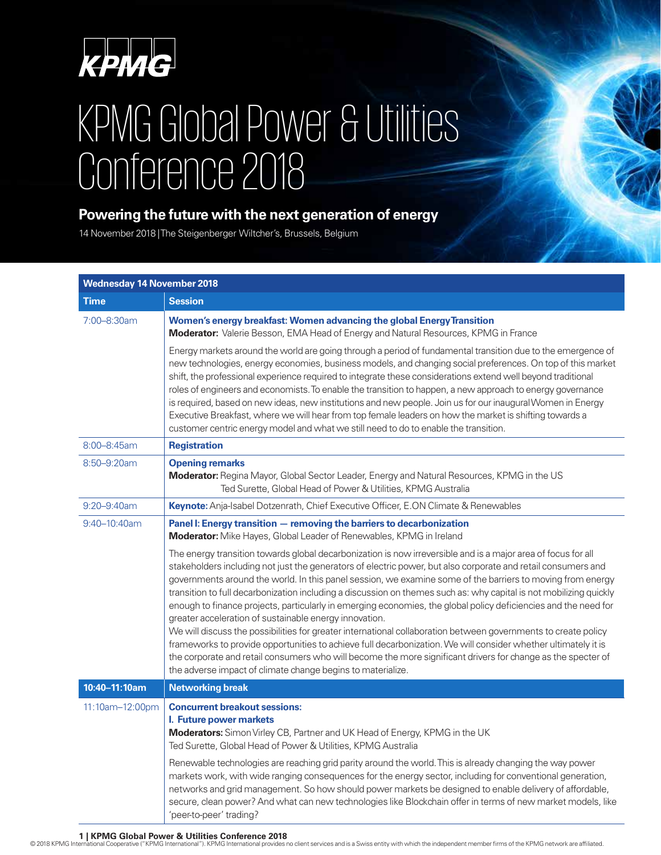

## KPMG Global Power & Utilities Conference 2018

## **Powering the future with the next generation of energy**

14 November 2018 | The Steigenberger Wiltcher's, Brussels, Belgium

| <b>Wednesday 14 November 2018</b> |                                                                                                                                                                                                                                                                                                                                                                                                                                                                                                                                                                                                                                                                                                                                                                             |  |
|-----------------------------------|-----------------------------------------------------------------------------------------------------------------------------------------------------------------------------------------------------------------------------------------------------------------------------------------------------------------------------------------------------------------------------------------------------------------------------------------------------------------------------------------------------------------------------------------------------------------------------------------------------------------------------------------------------------------------------------------------------------------------------------------------------------------------------|--|
| Time                              | <b>Session</b>                                                                                                                                                                                                                                                                                                                                                                                                                                                                                                                                                                                                                                                                                                                                                              |  |
| 7:00-8:30am                       | Women's energy breakfast: Women advancing the global Energy Transition<br>Moderator: Valerie Besson, EMA Head of Energy and Natural Resources, KPMG in France                                                                                                                                                                                                                                                                                                                                                                                                                                                                                                                                                                                                               |  |
|                                   | Energy markets around the world are going through a period of fundamental transition due to the emergence of<br>new technologies, energy economies, business models, and changing social preferences. On top of this market<br>shift, the professional experience required to integrate these considerations extend well beyond traditional<br>roles of engineers and economists. To enable the transition to happen, a new approach to energy governance<br>is required, based on new ideas, new institutions and new people. Join us for our inaugural Women in Energy<br>Executive Breakfast, where we will hear from top female leaders on how the market is shifting towards a<br>customer centric energy model and what we still need to do to enable the transition. |  |
| 8:00-8:45am                       | <b>Registration</b>                                                                                                                                                                                                                                                                                                                                                                                                                                                                                                                                                                                                                                                                                                                                                         |  |
| 8:50-9:20am                       | <b>Opening remarks</b><br>Moderator: Regina Mayor, Global Sector Leader, Energy and Natural Resources, KPMG in the US<br>Ted Surette, Global Head of Power & Utilities, KPMG Australia                                                                                                                                                                                                                                                                                                                                                                                                                                                                                                                                                                                      |  |
| 9:20-9:40am                       | Keynote: Anja-Isabel Dotzenrath, Chief Executive Officer, E.ON Climate & Renewables                                                                                                                                                                                                                                                                                                                                                                                                                                                                                                                                                                                                                                                                                         |  |
| 9:40-10:40am                      | Panel I: Energy transition - removing the barriers to decarbonization<br>Moderator: Mike Hayes, Global Leader of Renewables, KPMG in Ireland                                                                                                                                                                                                                                                                                                                                                                                                                                                                                                                                                                                                                                |  |
|                                   | The energy transition towards global decarbonization is now irreversible and is a major area of focus for all<br>stakeholders including not just the generators of electric power, but also corporate and retail consumers and<br>governments around the world. In this panel session, we examine some of the barriers to moving from energy<br>transition to full decarbonization including a discussion on themes such as: why capital is not mobilizing quickly<br>enough to finance projects, particularly in emerging economies, the global policy deficiencies and the need for<br>greater acceleration of sustainable energy innovation.<br>We will discuss the possibilities for greater international collaboration between governments to create policy           |  |
|                                   | frameworks to provide opportunities to achieve full decarbonization. We will consider whether ultimately it is<br>the corporate and retail consumers who will become the more significant drivers for change as the specter of<br>the adverse impact of climate change begins to materialize.                                                                                                                                                                                                                                                                                                                                                                                                                                                                               |  |
| 10:40-11:10am                     | <b>Networking break</b>                                                                                                                                                                                                                                                                                                                                                                                                                                                                                                                                                                                                                                                                                                                                                     |  |
| 11:10am-12:00pm                   | <b>Concurrent breakout sessions:</b><br>I. Future power markets<br>Moderators: Simon Virley CB, Partner and UK Head of Energy, KPMG in the UK<br>Ted Surette, Global Head of Power & Utilities, KPMG Australia                                                                                                                                                                                                                                                                                                                                                                                                                                                                                                                                                              |  |
|                                   | Renewable technologies are reaching grid parity around the world. This is already changing the way power<br>markets work, with wide ranging consequences for the energy sector, including for conventional generation,<br>networks and grid management. So how should power markets be designed to enable delivery of affordable,<br>secure, clean power? And what can new technologies like Blockchain offer in terms of new market models, like<br>'peer-to-peer' trading?                                                                                                                                                                                                                                                                                                |  |

1 | KPMG Global Power & Utilities Conference 2018<br>© 2018 KPMG International Cooperative ("KPMG International"). KPMG International provides no client services and is a Swiss entity with which the independent member firms o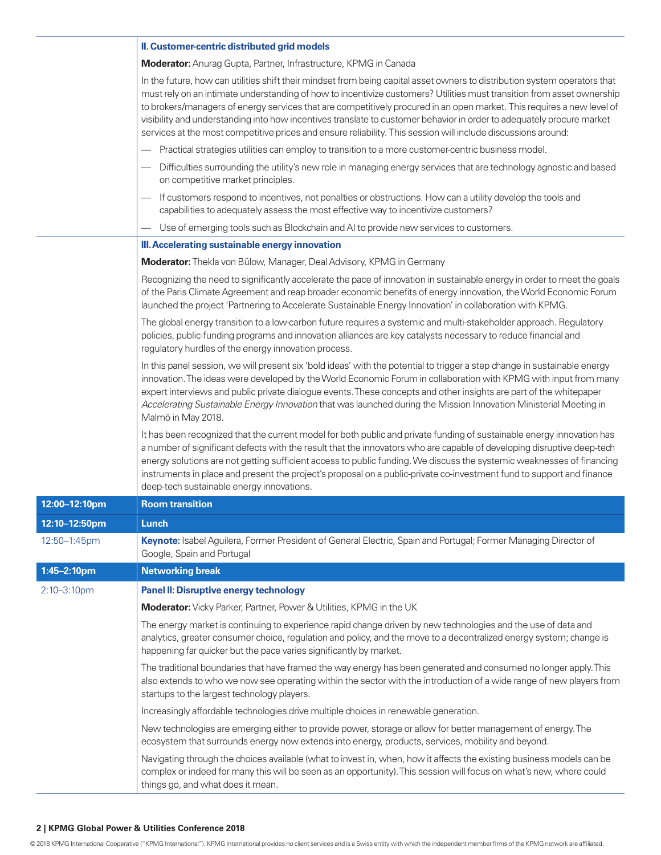|                  | II. Customer-centric distributed grid models                                                                                                                                                                                                                                                                                                                                                                                                                                                                                                                                                                             |
|------------------|--------------------------------------------------------------------------------------------------------------------------------------------------------------------------------------------------------------------------------------------------------------------------------------------------------------------------------------------------------------------------------------------------------------------------------------------------------------------------------------------------------------------------------------------------------------------------------------------------------------------------|
|                  | Moderator: Anurag Gupta, Partner, Infrastructure, KPMG in Canada                                                                                                                                                                                                                                                                                                                                                                                                                                                                                                                                                         |
|                  | In the future, how can utilities shift their mindset from being capital asset owners to distribution system operators that<br>must rely on an intimate understanding of how to incentivize customers? Utilities must transition from asset ownership<br>to brokers/managers of energy services that are competitively procured in an open market. This requires a new level of<br>visibility and understanding into how incentives translate to customer behavior in order to adequately procure market<br>services at the most competitive prices and ensure reliability. This session will include discussions around: |
|                  | Practical strategies utilities can employ to transition to a more customer-centric business model.                                                                                                                                                                                                                                                                                                                                                                                                                                                                                                                       |
|                  | Difficulties surrounding the utility's new role in managing energy services that are technology agnostic and based<br>on competitive market principles.                                                                                                                                                                                                                                                                                                                                                                                                                                                                  |
|                  | If customers respond to incentives, not penalties or obstructions. How can a utility develop the tools and<br>capabilities to adequately assess the most effective way to incentivize customers?                                                                                                                                                                                                                                                                                                                                                                                                                         |
|                  | Use of emerging tools such as Blockchain and AI to provide new services to customers.                                                                                                                                                                                                                                                                                                                                                                                                                                                                                                                                    |
|                  | III. Accelerating sustainable energy innovation                                                                                                                                                                                                                                                                                                                                                                                                                                                                                                                                                                          |
|                  | Moderator: Thekla von Bülow, Manager, Deal Advisory, KPMG in Germany                                                                                                                                                                                                                                                                                                                                                                                                                                                                                                                                                     |
|                  | Recognizing the need to significantly accelerate the pace of innovation in sustainable energy in order to meet the goals<br>of the Paris Climate Agreement and reap broader economic benefits of energy innovation, the World Economic Forum<br>launched the project 'Partnering to Accelerate Sustainable Energy Innovation' in collaboration with KPMG.                                                                                                                                                                                                                                                                |
|                  | The global energy transition to a low-carbon future requires a systemic and multi-stakeholder approach. Regulatory<br>policies, public-funding programs and innovation alliances are key catalysts necessary to reduce financial and<br>regulatory hurdles of the energy innovation process.                                                                                                                                                                                                                                                                                                                             |
|                  | In this panel session, we will present six 'bold ideas' with the potential to trigger a step change in sustainable energy<br>innovation. The ideas were developed by the World Economic Forum in collaboration with KPMG with input from many<br>expert interviews and public private dialogue events. These concepts and other insights are part of the whitepaper<br>Accelerating Sustainable Energy Innovation that was launched during the Mission Innovation Ministerial Meeting in<br>Malmö in May 2018.                                                                                                           |
|                  | It has been recognized that the current model for both public and private funding of sustainable energy innovation has<br>a number of significant defects with the result that the innovators who are capable of developing disruptive deep-tech<br>energy solutions are not getting sufficient access to public funding. We discuss the systemic weaknesses of financing<br>instruments in place and present the project's proposal on a public-private co-investment fund to support and finance<br>deep-tech sustainable energy innovations.                                                                          |
| 12:00-12:10pm    | <b>Room transition</b>                                                                                                                                                                                                                                                                                                                                                                                                                                                                                                                                                                                                   |
| 12:10-12:50pm    | Lunch                                                                                                                                                                                                                                                                                                                                                                                                                                                                                                                                                                                                                    |
| 12:50-1:45pm     | Keynote: Isabel Aguilera, Former President of General Electric, Spain and Portugal; Former Managing Director of<br>Google, Spain and Portugal                                                                                                                                                                                                                                                                                                                                                                                                                                                                            |
| 1:45-2:10pm      | <b>Networking break</b>                                                                                                                                                                                                                                                                                                                                                                                                                                                                                                                                                                                                  |
| $2:10 - 3:10$ pm | <b>Panel II: Disruptive energy technology</b>                                                                                                                                                                                                                                                                                                                                                                                                                                                                                                                                                                            |
|                  | Moderator: Vicky Parker, Partner, Power & Utilities, KPMG in the UK                                                                                                                                                                                                                                                                                                                                                                                                                                                                                                                                                      |
|                  | The energy market is continuing to experience rapid change driven by new technologies and the use of data and<br>analytics, greater consumer choice, regulation and policy, and the move to a decentralized energy system; change is<br>happening far quicker but the pace varies significantly by market.                                                                                                                                                                                                                                                                                                               |
|                  | The traditional boundaries that have framed the way energy has been generated and consumed no longer apply. This<br>also extends to who we now see operating within the sector with the introduction of a wide range of new players from<br>startups to the largest technology players.                                                                                                                                                                                                                                                                                                                                  |
|                  | Increasingly affordable technologies drive multiple choices in renewable generation.                                                                                                                                                                                                                                                                                                                                                                                                                                                                                                                                     |
|                  | New technologies are emerging either to provide power, storage or allow for better management of energy. The<br>ecosystem that surrounds energy now extends into energy, products, services, mobility and beyond.                                                                                                                                                                                                                                                                                                                                                                                                        |
|                  | Navigating through the choices available (what to invest in, when, how it affects the existing business models can be<br>complex or indeed for many this will be seen as an opportunity). This session will focus on what's new, where could<br>things go, and what does it mean.                                                                                                                                                                                                                                                                                                                                        |

## **2 | KPMG Global Power & Utilities Conference 2018**

© 2018 KPMG International Cooperative ("KPMG International"). KPMG International provides no client services and is a Swiss entity with which the independent member firms of the KPMG network are affiliated.